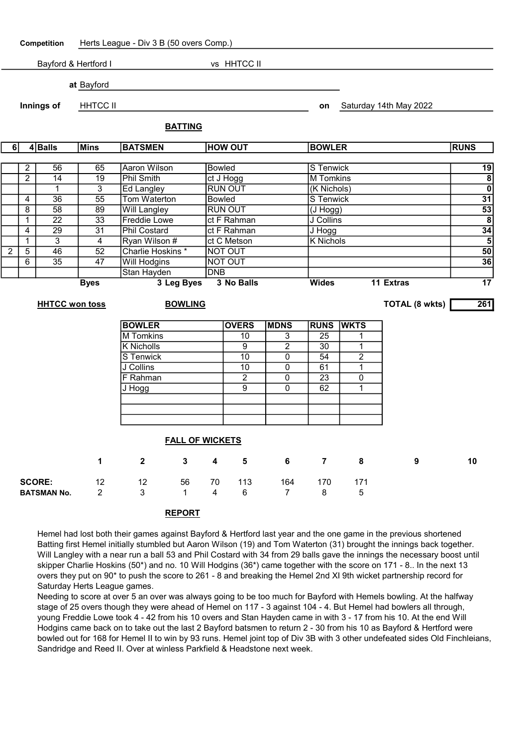

## REPORT

Hemel had lost both their games against Bayford & Hertford last year and the one game in the previous shortened Batting first Hemel initially stumbled but Aaron Wilson (19) and Tom Waterton (31) brought the innings back together. Will Langley with a near run a ball 53 and Phil Costard with 34 from 29 balls gave the innings the necessary boost until skipper Charlie Hoskins (50\*) and no. 10 Will Hodgins (36\*) came together with the score on 171 - 8.. In the next 13 overs they put on 90\* to push the score to 261 - 8 and breaking the Hemel 2nd XI 9th wicket partnership record for Saturday Herts League games.

Needing to score at over 5 an over was always going to be too much for Bayford with Hemels bowling. At the halfway stage of 25 overs though they were ahead of Hemel on 117 - 3 against 104 - 4. But Hemel had bowlers all through, young Freddie Lowe took 4 - 42 from his 10 overs and Stan Hayden came in with 3 - 17 from his 10. At the end Will Hodgins came back on to take out the last 2 Bayford batsmen to return 2 - 30 from his 10 as Bayford & Hertford were bowled out for 168 for Hemel II to win by 93 runs. Hemel joint top of Div 3B with 3 other undefeated sides Old Finchleians, Sandridge and Reed II. Over at winless Parkfield & Headstone next week.